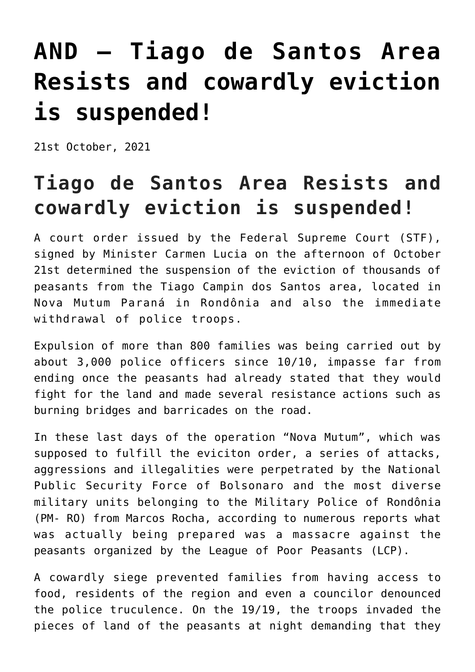## **[AND – Tiago de Santos Area](https://ci-ic.org/blog/2021/10/28/and-tiago-de-santos-area-resists-and-cowardly-eviction-is-suspended/) [Resists and cowardly eviction](https://ci-ic.org/blog/2021/10/28/and-tiago-de-santos-area-resists-and-cowardly-eviction-is-suspended/) [is suspended!](https://ci-ic.org/blog/2021/10/28/and-tiago-de-santos-area-resists-and-cowardly-eviction-is-suspended/)**

21st October, 2021

## **Tiago de Santos Area Resists and cowardly eviction is suspended!**

A court order issued by the Federal Supreme Court (STF), signed by Minister Carmen Lucia on the afternoon of October 21st determined the suspension of the eviction of thousands of peasants from the Tiago Campin dos Santos area, located in Nova Mutum Paraná in Rondônia and also the immediate withdrawal of police troops.

Expulsion of more than 800 families was being carried out by about 3,000 police officers since 10/10, impasse far from ending once the peasants had already stated that they would fight for the land and made several resistance actions such as burning bridges and barricades on the road.

In these last days of the operation "Nova Mutum", which was supposed to fulfill the eviciton order, a series of attacks, aggressions and illegalities were perpetrated by the National Public Security Force of Bolsonaro and the most diverse military units belonging to the Military Police of Rondônia (PM- RO) from Marcos Rocha, according to numerous reports what was actually being prepared was a massacre against the peasants organized by the League of Poor Peasants (LCP).

A cowardly siege prevented families from having access to food, residents of the region and even a councilor denounced the police truculence. On the 19/19, the troops invaded the pieces of land of the peasants at night demanding that they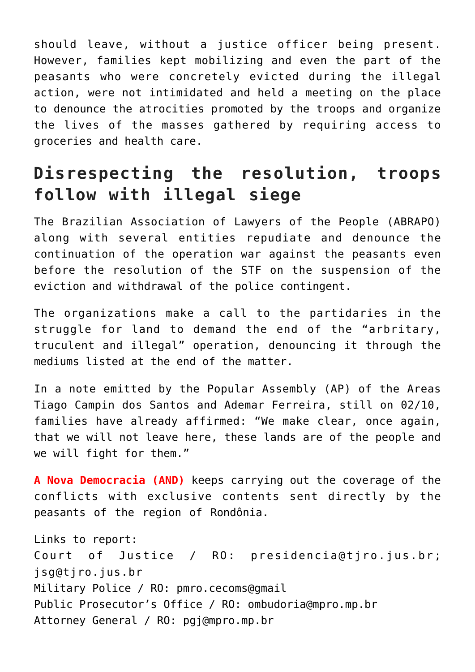should leave, without a justice officer being present. However, families kept mobilizing and even the part of the peasants who were concretely evicted during the illegal action, were not intimidated and held a meeting on the place to denounce the atrocities promoted by the troops and organize the lives of the masses gathered by requiring access to groceries and health care.

## **Disrespecting the resolution, troops follow with illegal siege**

The Brazilian Association of Lawyers of the People (ABRAPO) along with several entities repudiate and denounce the continuation of the operation war against the peasants even before the resolution of the STF on the suspension of the eviction and withdrawal of the police contingent.

The organizations make a call to the partidaries in the struggle for land to demand the end of the "arbritary, truculent and illegal" operation, denouncing it through the mediums listed at the end of the matter.

In a note emitted by the Popular Assembly (AP) of the Areas Tiago Campin dos Santos and Ademar Ferreira, still on 02/10, families have already affirmed: "We make clear, once again, that we will not leave here, these lands are of the people and we will fight for them."

**A Nova Democracia (AND)** keeps carrying out the coverage of the conflicts with exclusive contents sent directly by the peasants of the region of Rondônia.

Links to report: Court of Justice / RO: presidencia@tjro.jus.br; jsg@tjro.jus.br Military Police / RO: pmro.cecoms@gmail Public Prosecutor's Office / RO: ombudoria@mpro.mp.br Attorney General / RO: pgj@mpro.mp.br